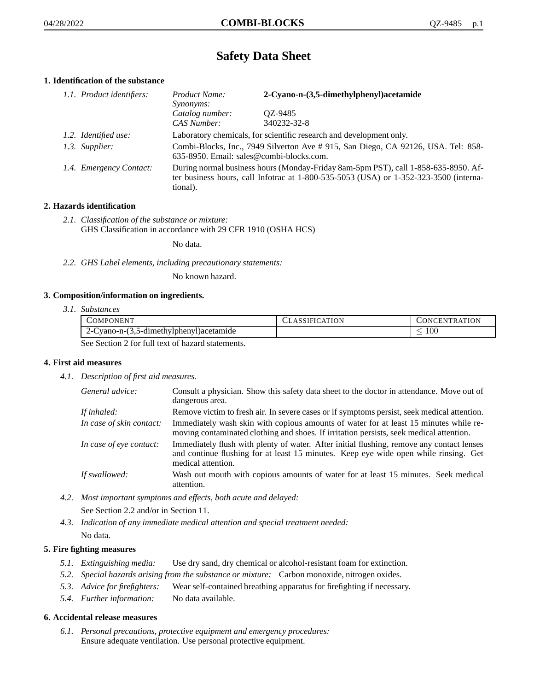# **Safety Data Sheet**

# **1. Identification of the substance**

| 1.1. Product identifiers: | Product Name:<br><i>Synonyms:</i>                                                                                                                                                           | 2-Cyano-n-(3,5-dimethylphenyl)acetamide |
|---------------------------|---------------------------------------------------------------------------------------------------------------------------------------------------------------------------------------------|-----------------------------------------|
|                           | Catalog number:<br>CAS Number:                                                                                                                                                              | OZ-9485<br>340232-32-8                  |
| 1.2. Identified use:      | Laboratory chemicals, for scientific research and development only.                                                                                                                         |                                         |
| 1.3. Supplier:            | Combi-Blocks, Inc., 7949 Silverton Ave # 915, San Diego, CA 92126, USA. Tel: 858-<br>635-8950. Email: sales@combi-blocks.com.                                                               |                                         |
| 1.4. Emergency Contact:   | During normal business hours (Monday-Friday 8am-5pm PST), call 1-858-635-8950. Af-<br>ter business hours, call Infotrac at $1-800-535-5053$ (USA) or $1-352-323-3500$ (interna-<br>tional). |                                         |

# **2. Hazards identification**

*2.1. Classification of the substance or mixture:* GHS Classification in accordance with 29 CFR 1910 (OSHA HCS)

No data.

*2.2. GHS Label elements, including precautionary statements:*

No known hazard.

## **3. Composition/information on ingredients.**

*3.1. Substances*

| COMPONENT                                        | <b>CLASSIFICATION</b> | CONCENTRATION |
|--------------------------------------------------|-----------------------|---------------|
| 2-Cyano-n-(3,5-dimethylphenyl) acetamide         |                       | 100           |
| See Section 2 for full text of hegard statements |                       |               |

See Section 2 for full text of hazard statements.

## **4. First aid measures**

*4.1. Description of first aid measures.*

| General advice:          | Consult a physician. Show this safety data sheet to the doctor in attendance. Move out of<br>dangerous area.                                                                                            |
|--------------------------|---------------------------------------------------------------------------------------------------------------------------------------------------------------------------------------------------------|
| If inhaled:              | Remove victim to fresh air. In severe cases or if symptoms persist, seek medical attention.                                                                                                             |
| In case of skin contact: | Immediately wash skin with copious amounts of water for at least 15 minutes while re-<br>moving contaminated clothing and shoes. If irritation persists, seek medical attention.                        |
| In case of eye contact:  | Immediately flush with plenty of water. After initial flushing, remove any contact lenses<br>and continue flushing for at least 15 minutes. Keep eye wide open while rinsing. Get<br>medical attention. |
| If swallowed:            | Wash out mouth with copious amounts of water for at least 15 minutes. Seek medical<br>attention.                                                                                                        |

*4.2. Most important symptoms and effects, both acute and delayed:*

See Section 2.2 and/or in Section 11.

*4.3. Indication of any immediate medical attention and special treatment needed:* No data.

# **5. Fire fighting measures**

- *5.1. Extinguishing media:* Use dry sand, dry chemical or alcohol-resistant foam for extinction.
- *5.2. Special hazards arising from the substance or mixture:* Carbon monoxide, nitrogen oxides.
- *5.3. Advice for firefighters:* Wear self-contained breathing apparatus for firefighting if necessary.
- *5.4. Further information:* No data available.

## **6. Accidental release measures**

*6.1. Personal precautions, protective equipment and emergency procedures:* Ensure adequate ventilation. Use personal protective equipment.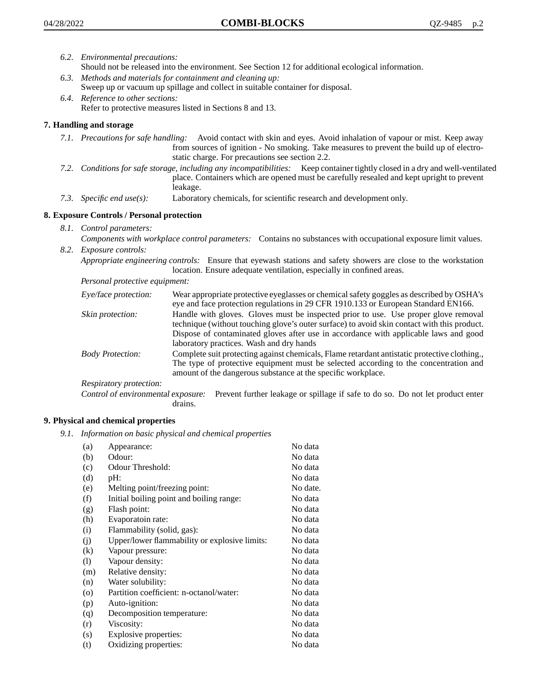- *6.2. Environmental precautions:* Should not be released into the environment. See Section 12 for additional ecological information.
- *6.3. Methods and materials for containment and cleaning up:* Sweep up or vacuum up spillage and collect in suitable container for disposal.
- *6.4. Reference to other sections:* Refer to protective measures listed in Sections 8 and 13.

# **7. Handling and storage**

- *7.1. Precautions for safe handling:* Avoid contact with skin and eyes. Avoid inhalation of vapour or mist. Keep away from sources of ignition - No smoking. Take measures to prevent the build up of electrostatic charge. For precautions see section 2.2.
- *7.2. Conditions for safe storage, including any incompatibilities:* Keep container tightly closed in a dry and well-ventilated place. Containers which are opened must be carefully resealed and kept upright to prevent leakage.
- *7.3. Specific end use(s):* Laboratory chemicals, for scientific research and development only.

# **8. Exposure Controls / Personal protection**

- *8.1. Control parameters:*
- *Components with workplace control parameters:* Contains no substances with occupational exposure limit values. *8.2. Exposure controls:*

*Appropriate engineering controls:* Ensure that eyewash stations and safety showers are close to the workstation location. Ensure adequate ventilation, especially in confined areas.

*Personal protective equipment:*

| Eye/face protection:    | Wear appropriate protective eyeglasses or chemical safety goggles as described by OSHA's<br>eye and face protection regulations in 29 CFR 1910.133 or European Standard EN166.                                                                                                                                         |
|-------------------------|------------------------------------------------------------------------------------------------------------------------------------------------------------------------------------------------------------------------------------------------------------------------------------------------------------------------|
| Skin protection:        | Handle with gloves. Gloves must be inspected prior to use. Use proper glove removal<br>technique (without touching glove's outer surface) to avoid skin contact with this product.<br>Dispose of contaminated gloves after use in accordance with applicable laws and good<br>laboratory practices. Wash and dry hands |
| <b>Body Protection:</b> | Complete suit protecting against chemicals, Flame retardant antistatic protective clothing.,<br>The type of protective equipment must be selected according to the concentration and<br>amount of the dangerous substance at the specific workplace.                                                                   |
| Respiratory protection: |                                                                                                                                                                                                                                                                                                                        |

Control of environmental exposure: Prevent further leakage or spillage if safe to do so. Do not let product enter drains.

## **9. Physical and chemical properties**

*9.1. Information on basic physical and chemical properties*

| (a)               | Appearance:                                   | No data  |
|-------------------|-----------------------------------------------|----------|
| (b)               | Odour:                                        | No data  |
| (c)               | Odour Threshold:                              | No data  |
| (d)               | pH:                                           | No data  |
| (e)               | Melting point/freezing point:                 | No date. |
| (f)               | Initial boiling point and boiling range:      | No data  |
| (g)               | Flash point:                                  | No data  |
| (h)               | Evaporatoin rate:                             | No data  |
| (i)               | Flammability (solid, gas):                    | No data  |
| (i)               | Upper/lower flammability or explosive limits: | No data  |
| $\left( k\right)$ | Vapour pressure:                              | No data  |
| (1)               | Vapour density:                               | No data  |
| (m)               | Relative density:                             | No data  |
| (n)               | Water solubility:                             | No data  |
| $\circ$           | Partition coefficient: n-octanol/water:       | No data  |
| (p)               | Auto-ignition:                                | No data  |
| (q)               | Decomposition temperature:                    | No data  |
| (r)               | Viscosity:                                    | No data  |
| (s)               | Explosive properties:                         | No data  |
| (t)               | Oxidizing properties:                         | No data  |